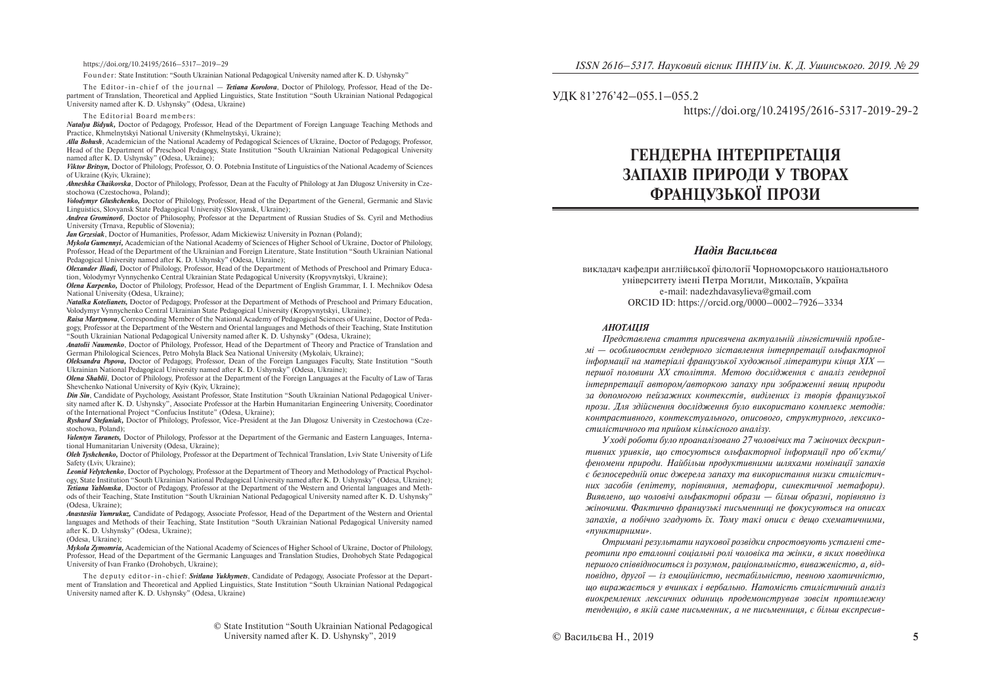https://doi.org/10.24195/2616–5317–2019–29

Founder: State Institution: "South Ukrainian National Pedagogical University named after K. D. Ushynsky"

The Editor-in-chief of the journal — *Tetiana Korolova*, Doctor of Philology, Professor, Head of the Department of Translation, Theoretical and Applied Linguistics, State Institution "South Ukrainian National Pedagogical University named after K. D. Ushynsky" (Odesa, Ukraine)

The Editorial Board members:

*Natalya Bidyuk,* Doctor of Pedagogy, Professor, Head of the Department of Foreign Language Teaching Methods and Practice, Khmelnytskyi National University (Khmelnytskyi, Ukraine);

*Alla Bohush*, Academician of the National Academy of Pedagogical Sciences of Ukraine, Doctor of Pedagogy, Professor, Head of the Department of Preschool Pedagogy, State Institution "South Ukrainian National Pedagogical University named after K. D. Ushynsky" (Odesa, Ukraine);

*Viktor Britsyn,* Doctor of Philology, Professor, O. O. Potebnia Institute of Linguistics of the National Academy of Sciences of Ukraine (Kyiv, Ukraine);

*Ahneshka Chaikovska*, Doctor of Philology, Professor, Dean at the Faculty of Philology at Jan Dlugosz University in Czestochowa (Czestochowa, Poland);

*Volodymyr Glushchenko,* Doctor of Philology, Professor, Head of the Department of the General, Germanic and Slavic Linguistics, Slovyansk State Pedagogical University (Slovyansk, Ukraine);

*Andrea Grominová*, Doctor of Philosophy, Professor at the Department of Russian Studies of Ss. Cyril and Methodius University (Trnava, Republic of Slovenia);

*Jan Grzesiak*, Doctor of Humanities, Professor, Adam Mickiewisz University in Poznan (Poland);

*Mykola Gumennyi,* Academician of the National Academy of Sciences of Higher School of Ukraine, Doctor of Philology, Professor, Head of the Department of the Ukrainian and Foreign Literature, State Institution "South Ukrainian National Pedagogical University named after K. D. Ushynsky" (Odesa, Ukraine);

*Olexander Iliadi,* Doctor of Philology, Professor, Head of the Department of Methods of Preschool and Primary Education, Volodymyr Vynnychenko Central Ukrainian State Pedagogical University (Kropyvnytskyi, Ukraine);

*Olena Karpenko,* Doctor of Philology, Professor, Head of the Department of English Grammar, I. I. Mechnikov Odesa National University (Odesa, Ukraine);

*Natalka Kotelianets,* Doctor of Pedagogy, Professor at the Department of Methods of Preschool and Primary Education, Volodymyr Vynnychenko Central Ukrainian State Pedagogical University (Kropyvnytskyi, Ukraine);

*Raisa Martynova*, Corresponding Member of the National Academy of Pedagogical Sciences of Ukraine, Doctor of Pedagogy, Professor at the Department of the Western and Oriental languages and Methods of their Teaching, State Institution "South Ukrainian National Pedagogical University named after K. D. Ushynsky" (Odesa, Ukraine);

*Anatolii Naumenko*, Doctor of Philology, Professor, Head of the Department of Theory and Practice of Translation and German Philological Sciences, Petro Mohyla Black Sea National University (Mykolaiv, Ukraine);

*Oleksandra Popova,* Doctor of Pedagogy, Professor, Dean of the Foreign Languages Faculty, State Institution "South Ukrainian National Pedagogical University named after K. D. Ushynsky" (Odesa, Ukraine);

*Olena Shablii*, Doctor of Philology, Professor at the Department of the Foreign Languages at the Faculty of Law of Taras Shevchenko National University of Kyiv (Kyiv, Ukraine);

*Din Sin*, Candidate of Psychology, Assistant Professor, State Institution "South Ukrainian National Pedagogical University named after K. D. Ushynsky", Associate Professor at the Harbin Humanitarian Engineering University, Coordinator of the International Project "Confucius Institute" (Odesa, Ukraine);

*Ryshard Stefaniak,* Doctor of Philology, Professor, Vice-President at the Jan Dlugosz University in Czestochowa (Czestochowa, Poland);

*Valentyn Taranets,* Doctor of Philology, Professor at the Department of the Germanic and Eastern Languages, International Humanitarian University (Odesa, Ukraine);

*Oleh Tyshchenko,* Doctor of Philology, Professor at the Department of Technical Translation, Lviv State University of Life Safety (Lviv, Ukraine);

*Leonid Velytchenko*, Doctor of Psychology, Professor at the Department of Theory and Methodology of Practical Psychology, State Institution "South Ukrainian National Pedagogical University named after K. D. Ushynsky" (Odesa, Ukraine); *Tetiana Yablonska*, Doctor of Pedagogy, Professor at the Department of the Western and Oriental languages and Methods of their Teaching, State Institution "South Ukrainian National Pedagogical University named after K. D. Ushynsky" (Odesa, Ukraine);

*Anastasiia Yumrukuz,* Candidate of Pedagogy, Associate Professor, Head of the Department of the Western and Oriental languages and Methods of their Teaching, State Institution "South Ukrainian National Pedagogical University named after K. D. Ushynsky" (Odesa, Ukraine);

#### (Odesa, Ukraine);

*Mykola Zymomria,* Academician of the National Academy of Sciences of Higher School of Ukraine, Doctor of Philology, Professor, Head of the Department of the Germanic Languages and Translation Studies, Drohobych State Pedagogical University of Ivan Franko (Drohobych, Ukraine);

The deputy editor-in-chief: *Svitlana Yukhymets*, Candidate of Pedagogy, Associate Professor at the Department of Translation and Theoretical and Applied Linguistics, State Institution "South Ukrainian National Pedagogical University named after K. D. Ushynsky" (Odesa, Ukraine)

УДК 81'276'42-055.1-055.2

https://doi.org/10.24195/2616-5317-2019-29-2

# ГЕНДЕРНА ІНТЕРПРЕТАЦІЯ ЗАПАХІВ ПРИРОДИ У ТВОРАХ **ФРАННУЗЬКОЇ ПРОЗИ**

### *Надія Васильєва*

викладач кафедри англійської філології Чорноморського національного університету імені Петра Могили, Миколаїв, Україна e-mail: nadezhdavasylieva@gmail.com ORCID ID: https://orcid.org/0000–0002–7926–3334

#### *ÀÍÎÒÀÖ²ß*

*Представлена стаття присвячена актуальній лінгвістичній проблемі* — особливостям гендерного зіставлення інтерпретації ольфакторної  $i$ нформації на матеріалі французької художньої літератури кінця  $XIX$  першої половини XX століття. Метою дослідження є аналіз гендерної *iнтерпретації автором/авторкою запаху при зображенні явиш природи* за допомогою пейзажних контекстів, виділених із творів франиузької прози. Для здійснення дослідження було використано комплекс методів: *êîí òðàñòèâíîãî, êîíòåêñòóàëüíîãî, îïèñîâîãî, ñòðóêòóðíîãî, ëåêñèêîстилістичного та прийом кількісного аналізу.* 

*У ході роботи було проаналізовано 27 чоловічих та 7 жіночих дескрип тивних уривків, що стосуються ольфакторної інформації про об'єкти/* феномени природи. Найбільш продуктивними шляхами номінації запахів  $\epsilon$  безпосередній опис джерела запаху та використання низки стилістич*íèõ çàñîá³â (åï³òåòó, ïîð³âíÿííÿ, ìåòàôîðè, ñèíåêòè÷íî¿ ìåòàôîðè).*  Виявлено, що чоловічі ольфакторні образи — більш образні, порівняно із  $x$ ейночими. Фактично французькі письменниці не фокусуються на описах запахів, а побічно згадують їх. Тому такі описи є дещо схематичними, *«ïóíêòèðíèìè».* 

*Îòðèìàí³ ðåçóëüòàòè íàóêîâî¿ ðîçâ³äêè ñïðîñòîâóþòü óñòàëåí³ ñòå*реотипи про еталонні соціальні ролі чоловіка та жінки, в яких поведінка першого співвідноситься із розумом, раціональністю, виваженістю, а, відповідно, другої — *із емоційністю*, нестабільністю, певною хаотичністю, *ùî âèðàæàºòüñÿ ó â÷èíêàõ ³ âåðáàëüíî. Íàòîì³ñòü ñòèë³ñòè÷íèé àíàë³ç âèîêðåìëåíèõ ëåêñè÷íèõ îäèíèöü ïðîäåìîíñòðóâàâ çîâñ³ì ïðîòèëåæíó òåíäåíö³þ, â ÿê³é ñàìå ïèñüìåííèê, à íå ïèñüìåííèöÿ, º á³ëüø åêñïðåñèâ-*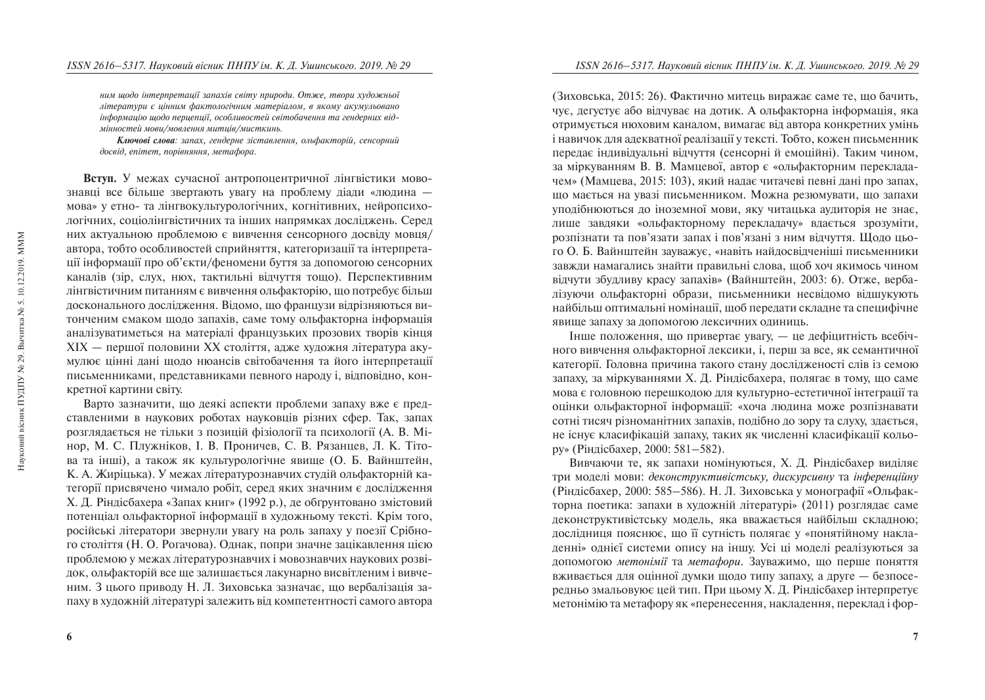*íèì ùîäî ³íòåðïðåòàö³¿ çàïàõ³â ñâ³òó ïðèðîäè. Îòæå, òâîðè õóäîæíüî¿ літератури є иінним фактологічним матеріалом, в якому акумульовано інформацію щодо перцепції, особливостей світобачення та гендерних відмінностей мови/мовлення митиів/мисткинь.* 

Ключові слова: запах, гендерне зіставлення, ольфакторій, сенсорний  $\partial$ освід, епітет, порівняння, метафора.

Вступ. У межах сучасної антропоцентричної лінгвістики мовознавці все більше звертають увагу на проблему діади «людина мова» у етно- та лінгвокультурологічних, когнітивних, нейропсихологічних, соціолінгвістичних та інших напрямках досліджень. Серед них актуальною проблемою є вивчення сенсорного лосвілу мовця/ автора, тобто особливостей сприйняття, категоризації та інтерпретації інформації про об'єкти/феномени буття за допомогою сенсорних каналів (зір, слух, нюх, тактильні відчуття тощо). Перспективним лінгвістичним питанням є вивчення ольфакторію, що потребує більш досконального дослідження. Відомо, що французи відрізняються витонченим смаком щодо запахів, саме тому ольфакторна інформація аналізуватиметься на матеріалі французьких прозових творів кінця  $XIX$  — першої половини XX століття, адже художня література акумулює цінні дані щодо нюансів світобачення та його інтерпретації письменниками, представниками певного народу і, відповідно, конкретної картини світу.

Варто зазначити, що леякі аспекти проблеми запаху вже є прелставленими в наукових роботах науковців різних сфер. Так, запах розглядається не тільки з позицій фізіології та психології (А. В. Мінор, М. С. Плужніков, І. В. Проничев, С. В. Рязанцев, Л. К. Тітова та інші), а також як культурологічне явище (О. Б. Вайнштейн, К. А. Жиріцька). У межах літературознавчих студій ольфакторній категорії присвячено чимало робіт, серед яких значним є дослідження Х. Д. Ріндісбахера «Запах книг» (1992 р.), де обґрунтовано змістовий потенціал ольфакторної інформації в художньому тексті. Крім того, російські літератори звернули увагу на роль запаху у поезії Срібного століття (Н. О. Рогачова). Однак, попри значне зацікавлення цією проблемою у межах літературознавчих і мовознавчих наукових розвідок, ольфакторій все ще залишається лакунарно висвітленим і вивченим. З цього приводу Н. Л. Зиховська зазначає, що вербалізація запаху в художній літературі залежить від компетентності самого автора

(Зиховська, 2015: 26). Фактично митець виражає саме те, що бачить, чує, дегустує або відчуває на дотик. А ольфакторна інформація, яка отримується нюховим каналом, вимагає віл автора конкретних умінь і навичок для адекватної реалізації у тексті. Тобто, кожен письменник передає індивідуальні відчуття (сенсорні й емоційні). Таким чином, за міркуванням В. В. Мамцевої, автор є «ольфакторним перекладачем» (Мамцева, 2015: 103), який надає читачеві певні дані про запах,  $\overline{a}$  ию мається на увазі письменником. Можна резюмувати, що запахи уподібнюються до іноземної мови, яку читацька аудиторія не знає, лише завдяки «ольфакторному перекладачу» вдається зрозуміти, розпізнати та пов'язати запах і пов'язані з ним відчуття. Щодо цього О. Б. Вайнштейн зауважує, «навіть найдосвідченіші письменники завжди намагались знайти правильні слова, щоб хоч якимось чином відчути збудливу красу запахів» (Вайнштейн, 2003: 6). Отже, вербалізуючи ольфакторні образи, письменники несвідомо відшукують найбільш оптимальні номінації, щоб передати складне та специфічне явище запаху за допомогою лексичних одиниць.

Інше положення, що привертає увагу, — це дефіцитність всебічного вивчення ольфакторної лексики, і, перш за все, як семантичної категорії. Головна причина такого стану лослілженості слів із семою запаху, за міркуваннями Х. Д. Ріндісбахера, полягає в тому, що саме мова є головною перешкодою для культурно-естетичної інтеграції та оцінки ольфакторної інформації: «хоча людина може розпізнавати сотні тисяч різноманітних запахів, подібно до зору та слуху, здається, не існує класифікацій запаху, таких як численні класифікації кольору» (Ріндісбахер, 2000: 581–582).

Вивчаючи те, як запахи номінуються, Х. Д. Ріндісбахер виділяє три моделі мови: деконструктивістську, дискурсивну та *інференційну* (Ріндісбахер, 2000: 585–586). Н. Л. Зиховська у монографії «Ольфакторна поетика: запахи в художній літературі» (2011) розглядає саме деконструктивістську модель, яка вважається найбільш складною; дослідниця пояснює, що її сутність полягає у «понятійному накладенні» однієї системи опису на іншу. Усі ці моделі реалізуються за допомогою *метонімії* та *метафори*. Зауважимо, що перше поняття вживається для оцінної думки щодо типу запаху, а друге — безпосередньо змальовуює цей тип. При цьому Х. Д. Ріндісбахер інтерпретує метонімію та метафору як «перенесення, накладення, переклад і фор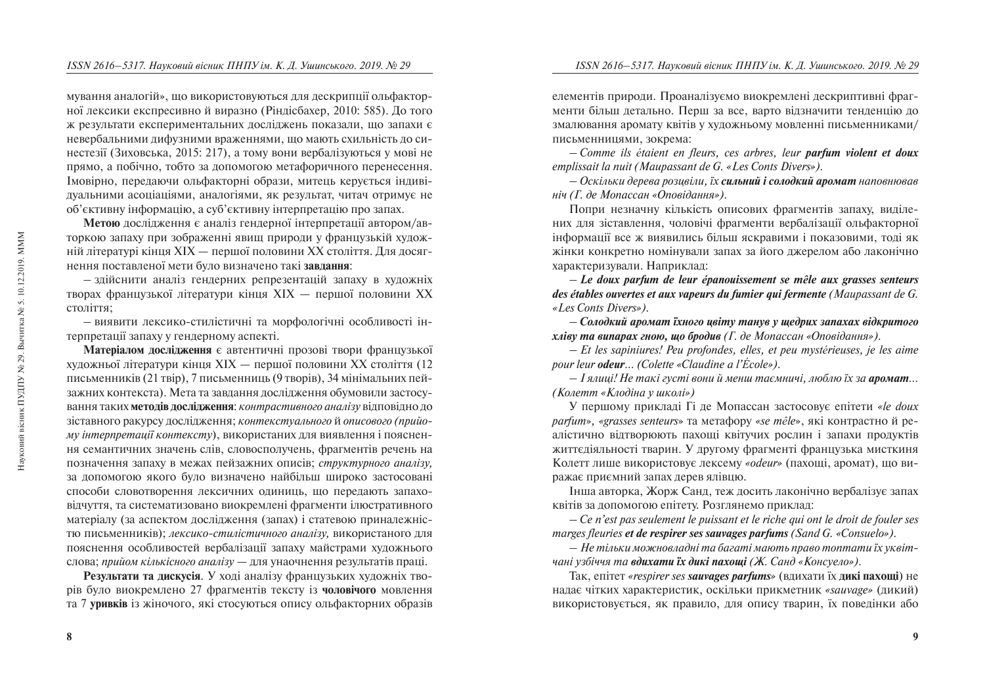мування аналогій», що використовуються для дескрипції ольфакторної лексики експресивно й виразно (Ріндісбахер, 2010: 585). До того ж результати експериментальних лослілжень показали. що запахи є невербальними дифузними враженнями, що мають схильність до синестезії (Зиховська, 2015: 217), а тому вони вербалізуються у мові не прямо, а побічно, тобто за допомогою метафоричного перенесення. Імовірно, передаючи ольфакторні образи, митець керується індивілуальними асопіаціями, аналогіями, як результат, читач отримує не  $\delta$ 'єктивну інформацію, а суб'єктивну інтерпретацію про запах.

**Метою** дослідження є аналіз гендерної інтерпретації автором/авторкою запаху при зображенні явищ природи у французькій художній літературі кінця XIX — першої половини XX століття. Для досягнення поставленої мети було визначено такі завдання:

 $-$  здійснити аналіз гендерних репрезентацій запаху в художніх творах французької літератури кінця  $XIX$  — першої половини  $XX$ століття:

– виявити лексико-стилістичні та морфологічні особливості інтерпретації запаху у гендерному аспекті.

Матеріалом дослідження є автентичні прозові твори французької художньої літератури кінця XIX — першої половини XX століття (12 письменників (21 твір), 7 письменниць (9 творів), 34 мінімальних пейзажних контекста). Мета та завдання дослідження обумовили застосування таких **методів дослідження**: *контрастивного аналізу* відповідно до зіставного ракурсу дослідження; *контекстуального* й описового (прийо*му інтерпретації контексту*), використаних для виявлення і пояснення семантичних значень слів, словосполучень, фрагментів речень на позначення запаху в межах пейзажних описів; структурного аналізу, за допомогою якого було визначено найбільш широко застосовані способи словотворення лексичних одиниць, що передають запаховідчуття, та систематизовано виокремлені фрагменти ілюстративного матеріалу (за аспектом дослідження (запах) і статевою приналежністю письменників); *лексико-стилістичного аналізу*, використаного для пояснення особливостей вербалізації запаху майстрами художнього слова; *прийом кількісного аналізу* — для унаочнення результатів праці.

Результати та дискусія. У ході аналізу французьких художніх творів було виокремлено 27 фрагментів тексту із **чоловічого** мовлення та 7 **уривків** із жіночого, які стосуються опису ольфакторних образів елементів природи. Проаналізуємо виокремлені дескриптивні фрагменти більш детально. Перш за все, варто відзначити тенденцію до змалювання аромату квітів у хуложньому мовленні письменниками/ письменнинями, зокрема:

– *Comme ils étaient en fleurs, ces arbres, leur parfum violent et doux emplissait la nuit (Maupassant de G. «Les Conts Divers»).*

– *Îñê³ëüêè äåðåâà ðîçöâ³ëè, ¿õ ñèëüíèé ³ ñîëîäêèé àðîìàò íàïîâíþâàâ ніч (Г. де Мопассан «Оповідання»).* 

Попри незначну кількість описових фрагментів запаху, вилілених для зіставлення, чоловічі фрагменти вербалізації ольфакторної інформації все ж виявились більш яскравими і показовими, тоді як жінки конкретно номінували запах за його джерелом або лаконічно характеризували. Наприклад:

– *Le doux parfum de leur épanouissement se mêle aux grasses senteurs des étables ouvertes et aux vapeurs du fumier qui fermente (Maupassant de G. «Les Conts Divers»).*

– *Ñîëîäêèé àðîìàò ¿õíîãî öâ³òó òàíóâ ó ùåäðèõ çàïàõàõ â³äêðèòîãî õë³âó òà âèïàðàõ ãíîþ, ùî áðîäèâ (Ã. äå Ìîïàññàí «Îïîâ³äàííÿ»).*

– *Et les sapinières! Peu profondes, elles, et peu mystérieuses, je les aime pour leur odeur… (Colette «Claudine à l'École»).*

– *² ÿëèö³! Íå òàê³ ãóñò³ âîíè é ìåíø òàºìíè÷³, ëþáëþ ¿õ çà àðîìàò… (Колетт «Клодіна у школі»)* 

У першому прикладі Гі де Мопассан застосовує епітети «le doux *parfum», «grasses senteurs»* та метафору *«se mêle»*, які контрастно й реалістично вілтворюють пахоші квітучих рослин і запахи пролуктів життє діяльності тварин. У другому фрагменті французька мисткиня Колетт лише використовує лексему «*odeur»* (пахощі, аромат), що виражає приємний запах дерев ялівцю.

Інша авторка, Жорж Санд, теж досить лаконічно вербалізує запах квітів за допомогою епітету. Розглянемо приклад:

– *Ce n'est pas seulement le puissant et le riche qui ont le droit de fouler ses marges fleuries et de respirer ses sauvages parfums (Sand G. «Consuelo»).*

– *Íå ò³ëüêè ìîæíîâëàäí³ òà áàãàò³ ìàþòü ïðàâî òîïòàòè ¿õ óêâ³ò- ÷àí³ óçá³÷÷ÿ òà âäèõàòè ¿õ äèê³ ïàõîù³ (Æ. Ñàíä «Êîíñóåëî»).* 

Tак, епітет «respirer ses **sauvages parfums**» (вдихати їх дикі пахощі) не надає чітких характеристик, оскільки прикметник «sauvage» (дикий) використовується, як правило, для опису тварин, їх поведінки або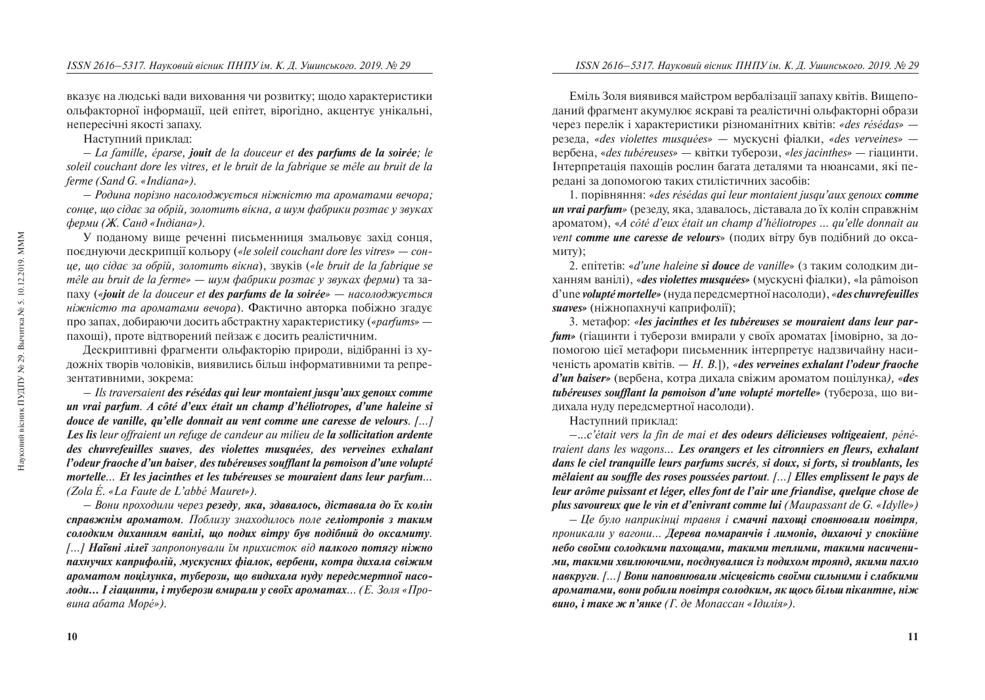вказує на людські вади виховання чи розвитку; щодо характеристики ольфакторної інформації, цей епітет, вірогідно, акцентує унікальні, Heπepeciчні якості запаху.

Наступний приклал:

– *La famille, éparse, jouit de la douceur et des parfums de la soirée; le soleil couchant dore les vitres, et le bruit de la fabrique se mêle au bruit de la ferme (Sand G. «Indiana»).*

– *Ðîäèíà ïîð³çíî íàñîëîäæóºòüñÿ í³æí³ñòþ òà àðîìàòàìè âå÷îðà;*  сонце, що сідає за обрій, золотить вікна, а шум фабрики розтає у звуках *ферми (Ж. Санд «Індіана»).* 

У поданому вище реченні письменниця змальовує захід сонця, поєднуючи дескрипції кольору («le soleil couchant dore les vitres» — *сонöå, ùî ñ³äຠçà îáð³é, çîëîòèòü â³êíà*), çâóê³â (*«le bruit de la fabrique se mêle au bruit de la ferme» — шум фабрики розтає γ звуках ферми*) та за $i$  πaxy (*«<i>jouit de la douceur et des parfums de la soirée» — насолоджується ніжністю та ароматами вечора*). Фактично авторка побіжно згадує про запах, добираючи досить абстрактну характеристику («*parfums»* пахощі), проте відтворений пейзаж є досить реалістичним.

Дескриптивні фрагменти ольфакторію природи, відібранні із художніх творів чоловіків, виявились більш інформативними та репрезентативними, зокрема:

– *Ils traversaient des résédas qui leur montaient jusqu'aux genoux comme un vrai parfum. À côté d'eux était un champ d'héliotropes, d'une haleine si douce de vanille, qu'elle donnait au vent comme une caresse de velours. […] Les lis leur offraient un refuge de candeur au milieu de la sollicitation ardente des chèvrefeuilles suaves, des violettes musquées, des verveines exhalant l'odeur fraoche d'un baiser, des tubéreuses soufflant la pemoison d'une volupté mortelle... Et les jacinthes et les tubéreuses se mouraient dans leur parfum... (Zola É. «La Faute de L'abbé Mauret»).*

– *Âîíè ïðîõîäèëè ÷åðåç ðåçåäó, ÿêà, çäàâàëîñü, ä³ñòàâàëà äî ¿õ êîë³í*  **справжнім ароматом.** Поблизу знаходилось поле гел**іотропів з таким**  $i$ *солодким диханням ванілі, що подих вітру був подібний до оксамиту. […] Наївні лілеї запропонували їм прихисток від палкого потягу ніжно* пахнучих каприфолій, мускусних фіалок, вербени, котра дихала свіжим ароматом поцілунка, туберози, що видихала нуду передсмертної насо*лоди... I гіашинти, і туберози вмирали у своїх ароматах...* (Е. Золя «Про- $6$ ина абата Море́»).

Еміль Золя виявився майстром вербалізації запаху квітів. Вищеподаний фрагмент акумулює яскраві та реалістичні ольфакторні образи ÷åðåç ïåðåë³ê ³ õàðàêòåðèñòèêè ð³çíîìàí³òíèõ êâ³ò³â: *«des résédas»* резеда, «des violettes musquées» — мускусні фіалки, «des verveines» а́вербена, «*des tubéreuses»* — квітки туберози, «les jacinthes» — гіацинти. Iнтерпретація пахощів рослин багата деталями та нюансами, які передані за допомогою таких стилістичних засобів:

1. ïîð³âíÿííÿ: «*des résédas qui leur montaient jusqu'aux genoux comme*  **un vrai parfum**» (резеду, яка, здавалось, діставала до їх колін справжнім àðîìàòîì), «*À côté d'eux était un champ d'héliotropes … qu'elle donnait au vent comme une caresse de velours*» (подих вітру був подібний до оксамиту);

2. епітетів: «*d'une haleine si douce de vanille»* (з таким солодким диханням ванілі), «*des violettes musquées»* (мускусні фіалки), «la pâmoison d'une *volupté mortelle»* (нуда передсмертної насолоди), «*des chuvrefeuilles suaves*» (ніжнопахнучі каприфолії);

3. Metadop: «*les jacinthes et les tubéreuses se mouraient dans leur parfum»* (гіацинти і туберози вмирали у своїх ароматах [імовірно, за допомогою цієї метафори письменник інтерпретує надзвичайну наси-÷åí³ñòü àðîìàò³â êâ³ò³â. — *Í. Â.*])*, «des verveines exhalant l'odeur fraîche d'un baiser»* (вербена, котра дихала свіжим ароматом поцілунка), «*des* **tubéreuses soufflant la pemoison d'une volupté mortelle»** (*TV* бероза, що видихала нуду передсмертної насолоди).

Наступний приклад:

–.*..c'était vers la fin de mai et des odeurs délicieuses voltigeaient, pénétraient dans les wagons... Les orangers et les citronniers en fleurs, exhalant dans le ciel tranquille leurs parfums sucrés, si doux, si forts, si troublants, les mêlaient au souffle des roses poussées partout. […] Elles emplissent le pays de leur arôme puissant et léger, elles font de l'air une friandise, quelque chose de plus savoureux que le vin et d'enivrant comme lui (Maupassant de G. «Idylle»)*

– *Öå áóëî íàïðèê³íö³ òðàâíÿ ³ ñìà÷í³ ïàõîù³ ñïîâíþâàëè ïîâ³òðÿ,*  лроникали у вагони... Дерева помаранчів і лимонів, дихаючі у спокійне *небо своїми солодкими пахощами, такими теплими, такими насиченими, такими хвилюючими, поєднувалися із подихом троянд, якими пахло íàâêðóãè. […] Âîíè íàïîâíþâàëè ì³ñöåâ³ñòü ñâî¿ìè ñèëüíèìè ³ ñëàáêèìè àðîìàòàìè, âîíè ðîáèëè ïîâ³òðÿ ñîëîäêèì, ÿê ùîñü á³ëüø ï³êàíòíå, í³æ*  **вино, і таке ж п'янке** (Г. де Мопассан «Ідилія»).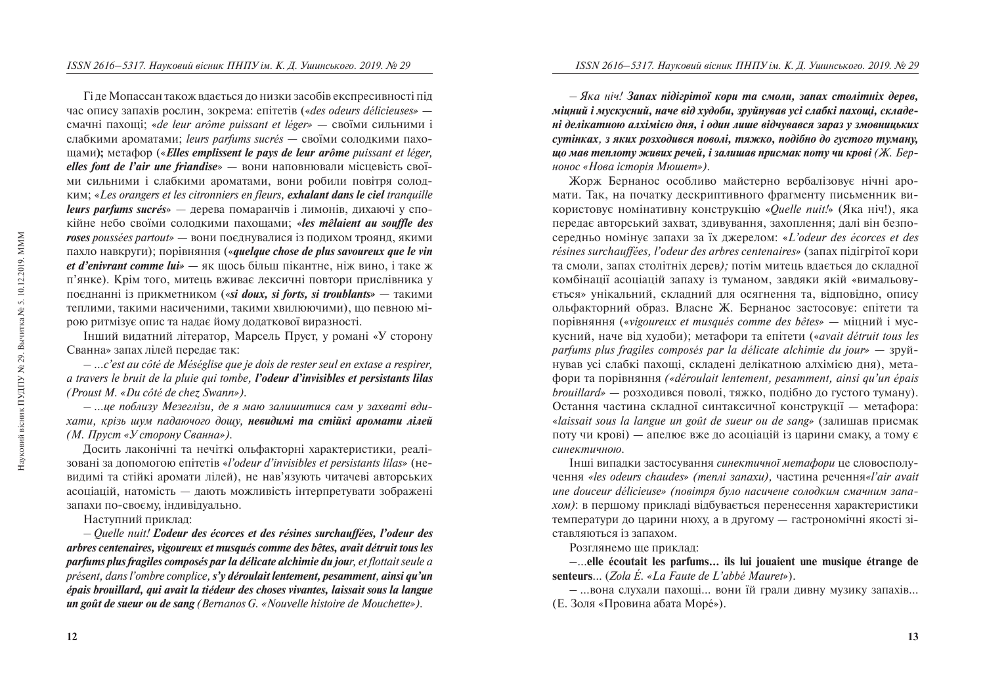Гі де Мопассан також вдається до низки засобів експресивності під ÷àñ îïèñó çàïàõ³â ðîñëèí, çîêðåìà: åï³òåò³â («*des odeurs délicieuses»* смачні пахоші: «*de leur arôme puissant et léger»* — своїми сильними і слабкими ароматами; *leurs parfums sucrés* — своїми солодкими пахоùàìè**);** ìåòàôîð («*Elles emplissent le pays de leur arôme puissant et léger, elles font de l'air une friandise»* — вони наповнювали місцевість своїми сильними і слабкими ароматами, вони робили повітря солодêèì; «*Les orangers et les citronniers en fleurs, exhalant dans le ciel tranquille leurs parfums sucrés*» — дерева помаранчів і лимонів, дихаючі у споê³éíå íåáî ñâî¿ìè ñîëîäêèìè ïàõîùàìè; «*les mêlaient au souffle des roses* poussées partout» — вони поєднувалися із подихом троянд, якими пахло навкруги); порівняння («*quelque chose de plus savoureux que le vin et d'enivrant comme lui»* — як щось більш пікантне, ніж вино, і таке ж п'янке). Крім того, митець вживає лексичні повтори прислівника у поєднанні із прикметником («*si doux, si forts, si troublants»* — такими теплими, такими насиченими, такими хвилюючими), що певною мірою ритмізує опис та надає йому додаткової виразності.

Інший видатний літератор, Марсель Пруст, у романі «У сторону Сванна» запах лілей передає так:

– *…c'est au côté de Méséglise que je dois de rester seul en extase à respirer, à travers le bruit de la pluie qui tombe, l'odeur d'invisibles et persistants lilas (Proust M. «Du côté de chez Swann»).*

– *…öå ïîáëèçó Ìåçåãë³çè, äå ÿ ìàþ çàëèøèòèñÿ ñàì ó çàõâàò³ âäèхати, крізь шум падаючого дощу, невидимі та стійкі аромати лілей (М. Пруст «У сторону Сванна»).* 

Досить лаконічні та нечіткі ольфакторні характеристики, реалізовані за допомогою епітетів «*l'odeur d'invisibles et persistants lilas»* (невидимі та стійкі аромати лілей), не нав'язують читачеві авторських  $a$ соціацій, натомість — дають можливість інтерпретувати зображені запахи по-своєму, індивідуально.

Наступний приклад:

– *Quelle nuit! L'odeur des écorces et des résines surchauffées, l'odeur des arbres centenaires, vigoureux et musqués comme des bêtes, avait détruit tous les parfums plus fragiles composés par la délicate alchimie du jour, et flottait seule à présent, dans l'ombre complice, s'y déroulait lentement, pesamment, ainsi qu'un épais brouillard, qui avait la tiédeur des choses vivantes, laissait sous la langue un goût de sueur ou de sang (Bernanos G. «Nouvelle histoire de Mouchette»).* 

 $−$  Яка ніч! Запах підігрітої кори та смоли, запах столітніх дерев, міцний *і мускусний, наче від худоби, зруйнував усі слабкі пахоші, складеí³ äåë³êàòíîþ àëõ³ì³ºþ äíÿ, ³ îäèí ëèøå â³ä÷óâàâñÿ çàðàç ó çìîâíèöüêèõ*   $c$ үтінках, з яких розходився поволі, тяжко, подібно до густого туману, **ило мав теплоту живих речей, і залишав присмак поту чи крові (Ж. Бер***ионос «Нова історія Мюшет»).* 

Жорж Бернанос особливо майстерно вербалізовує нічні аромати. Так, на початку дескриптивного фрагменту письменник використовує номінативну конструкцію «*Quelle nuit!*» (Яка ніч!), яка передає авторський захват, здивування, захоплення; далі він безпосередньо номінує запахи за їх джерелом: «*L'odeur des écorces et des résines surchauffées, l'odeur des arbres centenaires*» (запах підігрітої кори та смоли, запах столітніх дерев); потім митець вдається до складної комбінації асоціацій запаху із туманом, завдяки якій «вимальовується» унікальний, складний для осягнення та, відповідно, опису ольфакторний образ. Власне Ж. Бернанос застосовує: епітети та <u>порівняння</u> («*vigoureux et musqués comme des bêtes»* — міцний і мусêóñíèé, íà÷å â³ä õóäîáè); ìåòàôîðè òà åï³òåòè («*avait détruit tous les parfums plus fragiles composés par la délicate alchimie du jour» — зруй*нував усі слабкі пахощі, складені делікатною алхімією дня), метаôîðè òà ïîð³âíÿííÿ *(«déroulait lentement, pesamment, ainsi qu'un épais brouillard»* — розходився поволі, тяжко, подібно до густого туману). Остання частина складної синтаксичної конструкції — метафора: «*laissait sous la langue un goût de sueur ou de sang*» (залишав присмак поту чи крові) — апелює вже до асоціацій із царини смаку, а тому є  $cu$ *нектичною*.

Інші випадки застосування *синектичної метафори* це словосполу-÷åííÿ *«les odeurs chaudes» (òåïë³ çàïàõè),* ÷àñòèíà ðå÷åííÿ*«l'air avait*  une douceur délicieuse» (повітря було насичене солодким смачним запа*хом*): в першому приклалі вілбувається перенесення характеристики температури до царини нюху, а в другому — гастрономічні якості зіставляються із запахом.

Розглянемо ше приклад:

–...**elle écoutait les parfums... ils lui jouaient une musique étrange de senteurs**... (*Zola É. «La Faute de L'abbé Mauret»*).

– …вона слухали пахоші... вони їй грали дивну музику запахів... (Е. Золя «Провина абата Море́»).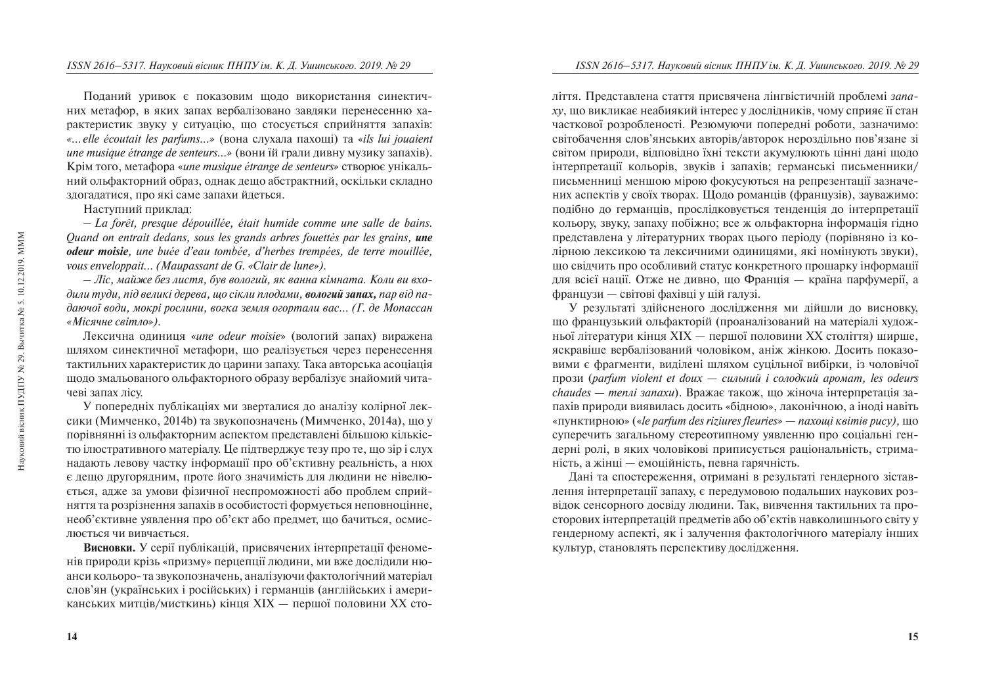Поданий уривок є показовим щодо використання синектичних метафор, в яких запах вербалізовано завдяки перенесенню характеристик звуку у ситуацію, що стосується сприйняття запахів: «... elle écoutait les parfums...» (вона слухала пахощі) та «*ils lui jouaient une musique étrange de senteurs...»* (вони їй грали дивну музику запахів). Крім того, метафора «*une musique étrange de senteurs*» створює унікальний ольфакторний образ, однак дещо абстрактний, оскільки складно злогалатися, про які саме запахи йлеться.

Наступний приклад:

– *La forêt, presque dépouillée, était humide comme une salle de bains. Quand on entrait dedans, sous les grands arbres fouettés par les grains, une odeur moisie, une buée d'eau tombée, d'herbes trempées, de terre mouillée, vous enveloppait... (Maupassant de G. «Clair de lune»).*

– *˳ñ, ìàéæå áåç ëèñòÿ, áóâ âîëîãèé, ÿê âàííà ê³ìíàòà. Êîëè âè âõî*дили туди, під великі дерева, що сікли плодами, вологий запах, пар від падаючої води, мокрі рослини, вогка земля огортали вас... (Г. де Мопассан «Місячне світло»).

Лексична одиниця «*une odeur moisie*» (вологий запах) виражена шляхом синектичної метафори, що реалізується через перенесення тактильних характеристик до царини запаху. Така авторська асоціація щодо змальованого ольфакторного образу вербалізує знайомий читачеві запах лісу.

У попередніх публікаціях ми зверталися до аналізу колірної лексики (Мимченко, 2014b) та звукопозначень (Мимченко, 2014a), що у порівнянні із ольфакторним аспектом представлені більшою кількістю ілюстративного матеріалу. Це підтверджує тезу про те, що зір і слух надають левову частку інформації про об'єктивну реальність, а нюх  $\epsilon$  дещо другорядним, проте його значимість для людини не нівелюється, адже за умови фізичної неспроможності або проблем сприйняття та розрізнення запахів в особистості формується неповноцінне. необ'єктивне уявлення про об'єкт або предмет, що бачиться, осмислюється чи вивчається.

**Висновки.** У серії публікацій, присвячених інтерпретації феноменів природи крізь «призму» перцепції людини, ми вже дослідили нюанси кольоро- та звукопозначень, аналізуючи фактологічний матеріал слов'ян (українських і російських) і германців (англійських і американських митців/мисткинь) кінця XIX — першої половини XX сто-

ліття. Представлена стаття присвячена лінгвістичній проблемі запа*ху*, що викликає неабиякий інтерес у дослідників, чому сприяє її стан часткової розробленості. Резюмуючи попередні роботи, зазначимо: світобачення слов'янських авторів/авторок нероздільно пов'язане зі світом природи, відповідно їхні тексти акумулюють цінні дані щодо  $i$ нтерпретації кольорів, звуків і запахів; германські письменники/ письменниці меншою мірою фокусуються на репрезентації зазначених аспектів у своїх творах. Щодо романців (французів), зауважимо: подібно до германців, прослідковується тенденція до інтерпретації кольору, звуку, запаху побіжно; все ж ольфакторна інформація гідно представлена у літературних творах цього періоду (порівняно із колірною лексикою та лексичними одиницями, які номінують звуки), що свідчить про особливий статус конкретного прошарку інформації для всієї нації. Отже не дивно, що Франція — країна парфумерії, а французи — світові фахівці у цій галузі.

У результаті здійсненого дослідження ми дійшли до висновку, що французький ольфакторій (проаналізований на матеріалі художньої літератури кінця XIX — першої половини XX століття) ширше, яскравіше вербалізований чоловіком, аніж жінкою. Лосить показовими є фрагменти, виділені шляхом суцільної вибірки, із чоловічої ïðîçè (*parfum violent et doux* — *ñèëüíèé ³ ñîëîäêèé àðîìàò, les odeurs chaudes — menлі запахи*). Вражає також, що жіноча інтерпретація запахів природи виявилась досить «бідною», лаконічною, а іноді навіть «пунктирною» («*le parfum des riziures fleuries» — naxoui квітів рису*), що суперечить загальному стереотипному уявленню про соціальні гендерні ролі, в яких чоловікові приписується раціональність, стриманість, а жінці — емоційність, певна гарячність.

Дані та спостереження, отримані в результаті гендерного зіставлення інтерпретації запаху, є передумовою подальших наукових розвідок сенсорного досвіду людини. Так, вивчення тактильних та просторових інтерпретацій предметів або об'єктів навколишнього світу у гендерному аспекті, як і залучення фактологічного матеріалу інших культур, становлять перспективу дослідження.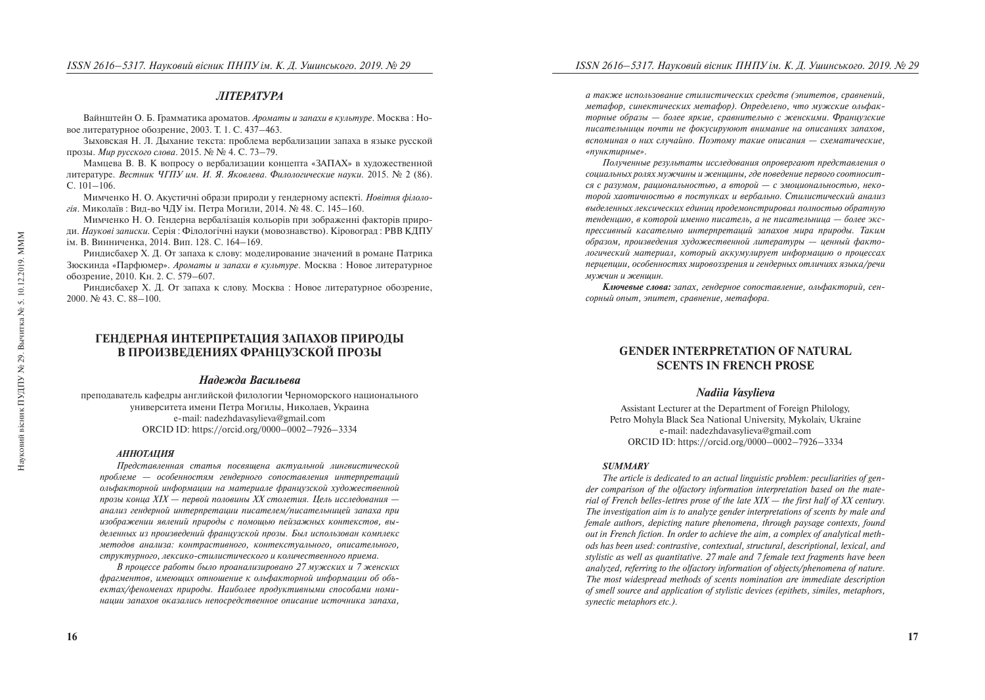# **JIITEPATYPA**

Вайнштейн О. Б. Грамматика ароматов. *Ароматы и запахи в культуре*. Москва: Новое литературное обозрение, 2003. Т. 1. С. 437–463.

Зыховская Н. Л. Дыхание текста: проблема вербализации запаха в языке русской прозы. *Мир русского слова*. 2015. № № 4. С. 73–79.

Мамцева В. В. К вопросу о вербализации концепта «ЗАПАХ» в художественной литературе. *Вестник ЧГПУ им. И. Я. Яковлева. Филологические науки.* 2015. № 2 (86).  $C. 101–106.$ 

Мимченко Н. О. Акустичні образи природи у гендерному аспекті. *Новітня філологія*. Миколаїв: Вид-во ЧДУ ім. Петра Могили, 2014. № 48. С. 145–160.

Мимченко Н. О. Гендерна вербалізація кольорів при зображенні факторів природи. Наукові записки. Серія: Філологічні науки (мовознавство). Кіровоград: РВВ КДПУ ім. В. Винниченка, 2014. Вип. 128. С. 164–169.

Риндисбахер Х. Д. От запаха к слову: моделирование значений в романе Патрика Зюскинда «Парфюмер». *Ароматы и запахи в культуре*. Москва: Новое литературное ббозрение, 2010. Кн. 2. С. 579–607.

Риндисбахер Х. Д. От запаха к слову. Москва : Новое литературное обозрение,  $2000.$  No 43. C. 88–100.

# ГЕНДЕРНАЯ ИНТЕРПРЕТАЦИЯ ЗАПАХОВ ПРИРОДЫ В ПРОИЗВЕЛЕНИЯХ ФРАНЦУЗСКОЙ ПРОЗЫ

## *Íàäåæäà Âàñèëüåâà*

преполаватель кафелры английской филологии Черноморского напионального университета имени Петра Могилы, Николаев, Украина e-mail: nadezhdavasylieva@gmail.com ORCID ID: https://orcid.org/0000–0002–7926–3334

#### *АННОТАЦИЯ*

*Ïðåäñòàâëåííàÿ ñòàòüÿ ïîñâÿùåíà àêòóàëüíîé ëèíãâèñòè÷åñêîé ïðîáëåìå — îñîáåííîñòÿì ãåíäåðíîãî ñîïîñòàâëåíèÿ èíòåðïðåòàöèé îëüôàêòîðíîé èíôîðìàöèè íà ìàòåðèàëå ôðàíöóçñêîé õóäîæåñòâåííîé ïðîçû êîíöà Õ²Õ — ïåðâîé ïîëîâèíû ÕÕ ñòîëåòèÿ. Öåëü èññëåäîâàíèÿ àíàëèç ãåíäåðíîé èíòåðïðåòàöèè ïèñàòåëåì/ïèñàòåëüíèöåé çàïàõà ïðè*  изображении явлений природы с помощью пейзажных контекстов, выделенных из произведений французской прозы. Был использован комплекс *ìåòîäîâ àíàëèçà: êîíòðàñòèâíîãî, êîíòåêñòóàëüíîãî, îïèñàòåëüíîãî, ñòðóêòóðíîãî, ëåêñèêî-ñòèëèñòè÷åñêîãî è êîëè÷åñòâåííîãî ïðèåìà.* 

*В* процессе работы было проанализировано 27 мужских и 7 женских фрагментов, имеющих отношение к ольфакторной информации об объектах/феноменах природы. Наиболее продуктивными способами номи*íàöèè çàïàõîâ îêàçàëèñü íåïîñðåäñòâåííîå îïèñàíèå èñòî÷íèêà çàïàõà,* 

*à òàêæå èñïîëüçîâàíèå ñòèëèñòè÷åñêèõ ñðåäñòâ (ýïèòåòîâ, ñðàâíåíèé, ìåòàôîð, ñèíåêòè÷åñêèõ ìåòàôîð). Îïðåäåëåíî, ÷òî ìóæñêèå îëüôàêòîðíûå îáðàçû — áîëåå ÿðêèå, ñðàâíèòåëüíî ñ æåíñêèìè. Ôðàíöóçñêèå ïèñàòåëüíèöû ïî÷òè íå ôîêóñèðóþþò âíèìàíèå íà îïèñàíèÿõ çàïàõîâ,*  <sup>*вспоминая о них случайно. Поэтому такие описания — схематические,*</sup> «пунктирные».

*Ïîëó÷åííûå ðåçóëüòàòû èññëåäîâàíèÿ îïðîâåðãàþò ïðåäñòàâëåíèÿ î ñîöèàëüíûõ ðîëÿõ ìóæ÷èíû è æåíùèíû, ãäå ïîâåäåíèå ïåðâîãî ñîîòíîñèò*ся с разумом, рациональностью, а второй — с эмоциональностью, неко*торой хаотичностью в поступках и вербально. Стилистический анализ âûäåëåííûõ ëåêñè÷åñêèõ åäèíèö ïðîäåìîíñòðèðîâàë ïîëíîñòüþ îáðàòíóþ*  тенденцию, в которой именно писатель, а не писательница — более экс*ïðåññèâíûé êàñàòåëüíî èíòåðïðåòàöèé çàïàõîâ ìèðà ïðèðîäû. Òàêèì îáðàçîì, ïðîèçâåäåíèÿ õóäîæåñòâåííîé ëèòåðàòóðû — öåííûé ôàêòî*логический материал, который аккумулирует информацию о процессах *ïåðöåïöèè, îñîáåííîñòÿõ ìèðîâîççðåíèÿ è ãåíäåðíûõ îòëè÷èÿõ ÿçûêà/ðå÷è мужчин и женщин.* 

*Êëþ÷åâûå ñëîâà: çàïàõ, ãåíäåðíîå ñîïîñòàâëåíèå, îëüôàêòîðèé, ñåíñîðíûé îïûò, ýïèòåò, ñðàâíåíèå, ìåòàôîðà.* 

# **GENDER INTERPRETATION OF NATURAL SCENTS IN FRENCH PROSE**

## *Nadiia Vasylieva*

Assistant Lecturer at the Department of Foreign Philology, Petro Mohyla Black Sea National University, Mykolaiv, Ukraine e-mail: nadezhdavasylieva@gmail.com ORCID ID: https://orcid.org/0000–0002–7926–3334

## *SUMMARY*

*The article is dedicated to an actual linguistic problem: peculiarities of gender comparison of the olfactory information interpretation based on the material of French belles-lettres prose of the late XIX — the first half of XX century. The investigation aim is to analyze gender interpretations of scents by male and female authors, depicting nature phenomena, through paysage contexts, found out in French fiction. In order to achieve the aim, a complex of analytical methods has been used: contrastive, contextual, structural, descriptional, lexical, and stylistic as well as quantitative. 27 male and 7 female text fragments have been analyzed, referring to the olfactory information of objects/phenomena of nature. The most widespread methods of scents nomination are immediate description of smell source and application of stylistic devices (epithets, similes, metaphors, synectic metaphors etc.).*